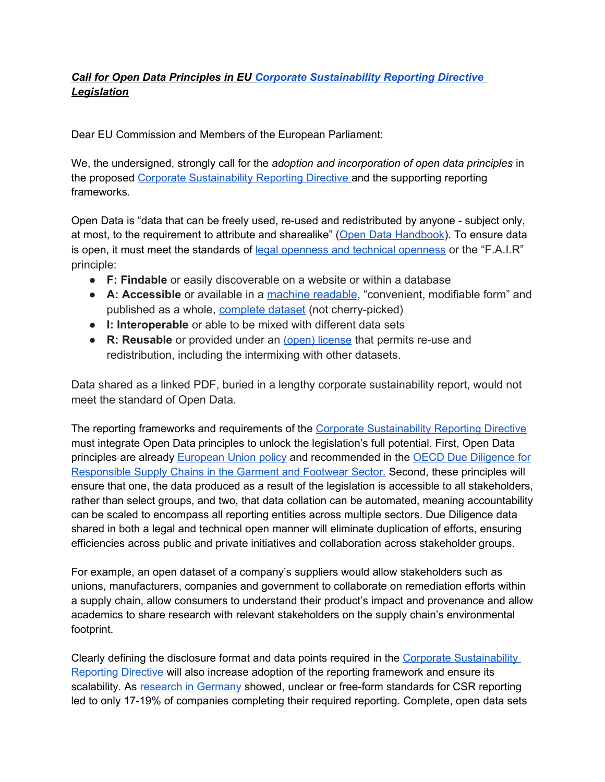## *Call for Open Data Principles in EU Corporate Sustainability Reporting Directive Legislation*

Dear EU Commission and Members of the European Parliament:

We, the undersigned, strongly call for the *adoption and incorporation of open data principles* in the proposed Corporate Sustainability Reporting Directive and the supporting reporting frameworks.

Open Data is "data that can be freely used, re-used and redistributed by anyone - subject only, at most, to the requirement to attribute and sharealike" (Open Data Handbook). To ensure data is open, it must meet the standards of legal openness and technical openness or the "F.A.I.R" principle:

- **F: Findable** or easily discoverable on a website or within a database
- **A: Accessible** or available in a machine readable, "convenient, modifiable form" and published as a whole, complete dataset (not cherry-picked)
- **I: Interoperable** or able to be mixed with different data sets
- **R: Reusable** or provided under an (open) license that permits re-use and redistribution, including the intermixing with other datasets.

Data shared as a linked PDF, buried in a lengthy corporate sustainability report, would not meet the standard of Open Data.

The reporting frameworks and requirements of the Corporate Sustainability Reporting Directive must integrate Open Data principles to unlock the legislation's full potential. First, Open Data principles are already European Union policy and recommended in the OECD Due Diligence for Responsible Supply Chains in the Garment and Footwear Sector. Second, these principles will ensure that one, the data produced as a result of the legislation is accessible to all stakeholders, rather than select groups, and two, that data collation can be automated, meaning accountability can be scaled to encompass all reporting entities across multiple sectors. Due Diligence data shared in both a legal and technical open manner will eliminate duplication of efforts, ensuring efficiencies across public and private initiatives and collaboration across stakeholder groups.

For example, an open dataset of a company's suppliers would allow stakeholders such as unions, manufacturers, companies and government to collaborate on remediation efforts within a supply chain, allow consumers to understand their product's impact and provenance and allow academics to share research with relevant stakeholders on the supply chain's environmental footprint.

Clearly defining the disclosure format and data points required in the Corporate Sustainability Reporting Directive will also increase adoption of the reporting framework and ensure its scalability. As research in Germany showed, unclear or free-form standards for CSR reporting led to only 17-19% of companies completing their required reporting. Complete, open data sets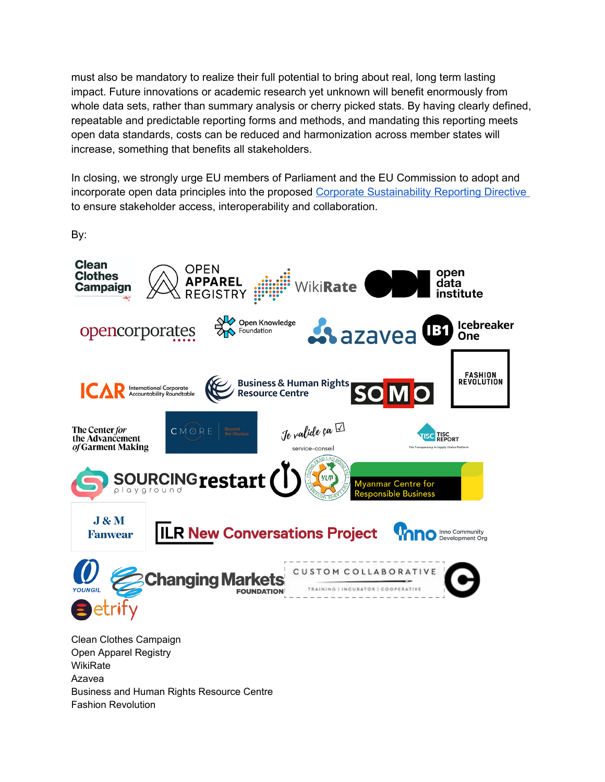must also be mandatory to realize their full potential to bring about real, long term lasting impact. Future innovations or academic research yet unknown will benefit enormously from whole data sets, rather than summary analysis or cherry picked stats. By having clearly defined, repeatable and predictable reporting forms and methods, and mandating this reporting meets open data standards, costs can be reduced and harmonization across member states will increase, something that benefits all stakeholders.

In closing, we strongly urge EU members of Parliament and the EU Commission to adopt and incorporate open data principles into the proposed Corporate Sustainability Reporting Directive to ensure stakeholder access, interoperability and collaboration.

By:



Business and Human Rights Resource Centre

Fashion Revolution